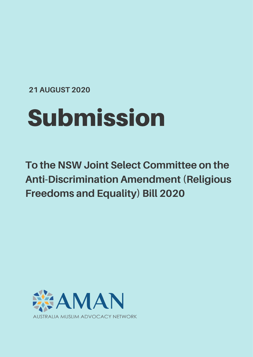**21 AUGUST 2020**

# Submission

**To the NSW Joint Select Committee on the Anti-Discrimination Amendment (Religious Freedoms and Equality) Bill 2020**

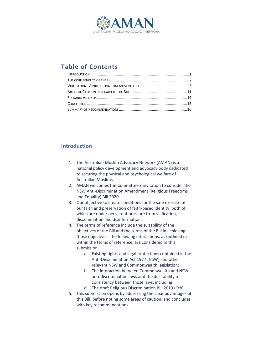

# **Table of Contents**

# <span id="page-1-0"></span>**Introduction**

- 1. The Australian Muslim Advocacy Network (AMAN) is a national policy development and advocacy body dedicated to securing the physical and psychological welfare of Australian Muslims.
- 2. AMAN welcomes the Committee's invitation to consider the NSW Anti-Discrimination Amendment (Religious Freedoms and Equality) Bill 2020.
- 3. Our objective to create conditions for the safe exercise of our faith and preservation of faith-based identity, both of which are under persistent pressure from vilification, discrimination and disinformation.
- 4. The terms of reference include the suitability of the objectives of the Bill and the terms of the Bill in achieving those objectives. The following interactions, as outlined in within the terms of reference, are considered in this submission.
	- a. Existing rights and legal protections contained in the Anti-Discrimination Act 1977 (NSW) and other relevant NSW and Commonwealth legislation;
	- b. The interaction between Commonwealth and NSW anti-discrimination laws and the desirability of consistency between those laws, including
	- c. The draft Religious Discrimination Bill 2019 (Cth)
- 5. This submission opens by addressing the clear advantages of this Bill, before noting some areas of caution, and concludes with key recommendations.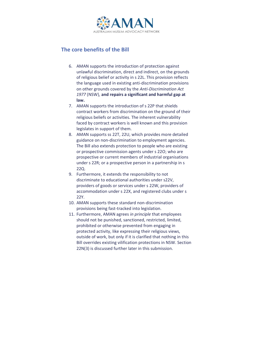

# <span id="page-2-0"></span>**The core benefits of the Bill**

- 6. AMAN supports the introduction of protection against unlawful discrimination, direct and indirect, on the grounds of religious belief or activity in s 22L. This provision reflects the language used in existing anti-discrimination provisions on other grounds covered by the *Anti-Discrimination Act 1977* (NSW), **and repairs a significant and harmful gap at law.**
- 7. AMAN supports the introduction of s 22P that shields contract workers from discrimination on the ground of their religious beliefs or activities. The inherent vulnerability faced by contract workers is well known and this provision legislates in support of them.
- 8. AMAN supports ss 22T, 22U, which provides more detailed guidance on non-discrimination to employment agencies. The Bill also extends protection to people who are existing or prospective commission agents under s 22O; who are prospective or current members of industrial organisations under s 22R; or a prospective person in a partnership in s 22Q.
- 9. Furthermore, it extends the responsibility to not discriminate to educational authorities under s22V, providers of goods or services under s 22W, providers of accommodation under s 22X, and registered clubs under s 22Y.
- 10. AMAN supports these standard non-discrimination provisions being fast-tracked into legislation.
- 11. Furthermore, AMAN agrees *in principle* that employees should not be punished, sanctioned, restricted, limited, prohibited or otherwise prevented from engaging in protected activity, like expressing their religious views, outside of work, but only if it is clarified that nothing in this Bill overrides existing vilification protections in NSW. Section 22N(3) is discussed further later in this submission.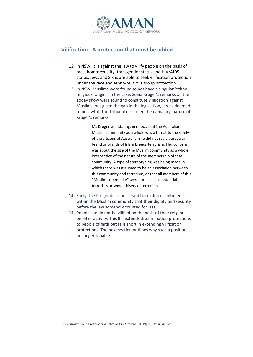

# <span id="page-3-0"></span>**Vilification - A protection that must be added**

- 12. In NSW, it is against the law to vilify people on the basis of race, homosexuality, transgender status and HIV/AIDS status. Jews and Sikhs are able to seek vilification protection under the race and ethno-religious group protection.
- 13. In NSW, Muslims were found to not have a singular 'ethnoreligious' origin.<sup>1</sup> In the case, Sonia Kruger's remarks on the Today show were found to constitute vilification against Muslims, but given the gap in the legislation, it was deemed to be lawful. The Tribunal described the damaging nature of Kruger's remarks:

Ms Kruger was stating, in effect, that the Australian Muslim community as a whole was a threat to the safely of the citizens of Australia. She did not say a particular brand or brands of Islam breeds terrorism. Her concern was about the size of the Muslim community as a whole irrespective of the nature of the membership of that community. A type of stereotyping was being made in which there was assumed to be an association between this community and terrorism, or that all members of this "Muslim community" were tarnished as potential terrorists or sympathisers of terrorism.

- **14.** Sadly, the Kruger decision served to reinforce sentiment within the Muslim community that their dignity and security before the law somehow counted for less.
- **15.** People should not be vilified on the basis of their religious belief or activity. This Bill extends discrimination protections to people of faith but falls short in extending vilification protections. The next section outlines why such a position is no longer tenable.

<sup>1</sup> *Ekermawi v Nine Network Australia Pty Limited* [2019] NSWCATAD 29.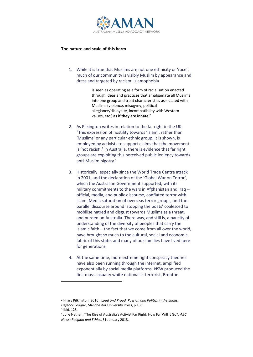

## **The nature and scale of this harm**

1. While it is true that Muslims are not one ethnicity or 'race', much of our community is visibly Muslim by appearance and dress and targeted by racism. Islamophobia

> is seen as operating as a form of racialisation enacted through ideas and practices that amalgamate all Muslims into one group and treat characteristics associated with Muslims (violence, misogyny, political allegiance/disloyalty, incompatibility with Western values, etc.) **as if they are innate**. 2

- 2. As Pilkington writes in relation to the far right in the UK: "This expression of hostility towards 'Islam', rather than 'Muslims' or any particular ethnic group, it is shown, is employed by activists to support claims that the movement is 'not racist'.<sup>3</sup> In Australia, there is evidence that far right groups are exploiting this perceived public leniency towards anti-Muslim bigotry. 4
- 3. Historically, especially since the World Trade Centre attack in 2001, and the declaration of the 'Global War on Terror', which the Australian Government supported, with its military commitments to the wars in Afghanistan and Iraq – official, media, and public discourse, conflated terror with Islam. Media saturation of overseas terror groups, and the parallel discourse around 'stopping the boats' coalesced to mobilise hatred and disgust towards Muslims as a threat, and burden on Australia. There was, and still is, a paucity of understanding of the diversity of peoples that carry the Islamic faith – the fact that we come from all over the world, have brought so much to the cultural, social and economic fabric of this state, and many of our families have lived here for generations.
- 4. At the same time, more extreme right conspiracy theories have also been running through the internet, amplified exponentially by social media platforms. NSW produced the first mass casualty white nationalist terrorist, Brenton

<sup>2</sup> Hilary Pilkington (2016), *Loud and Proud: Passion and Politics in the English Defence League*, Manchestor University Press, p 150. <sup>3</sup> Ibid, 125.

<sup>4</sup> Julie Nathan, 'The Rise of Australia's Activist Far Right: How Far Will It Go?, *ABC News: Religion and Ethics*, 31 January 2018.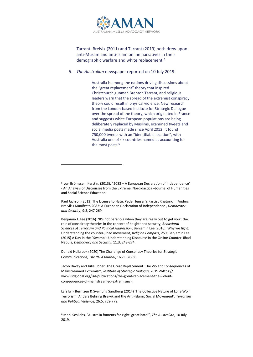

Tarrant. Breivik (2011) and Tarrant (2019) both drew upon anti-Muslim and anti-Islam online narratives in their demographic warfare and white replacement.5

5. *The Australian* newspaper reported on 10 July 2019:

Australia is among the nations driving discussions about the "great replacement" theory that inspired Christchurch gunman Brenton Tarrant, and religious leaders warn that the spread of the extremist conspiracy theory could result in physical violence. New research from the London-based Institute for Strategic Dialogue over the spread of the theory, which originated in France and suggests white European populations are being deliberately replaced by Muslims, examined tweets and social media posts made since April 2012. It found 750,000 tweets with an "identifiable location", with Australia one of six countries named as accounting for the most posts.<sup>6</sup>

Benjamin J. Lee (2016): 'It's not paranoia when they are really out to get you': the role of conspiracy theories in the context of heightened security, *Behavioral Sciences of Terrorism and Political Aggression*; Benjamin Lee (2016), Why we fight: Understanding the counter‐jihad movement, *Religion Compass*, 259; Benjamin Lee (2015) A Day in the "Swamp": Understanding Discourse in the Online Counter-Jihad Nebula, *Democracy and Security*, 11:3, 248-274.

Donald Holbrook (2020) The Challenge of Conspiracy Theories for Strategic Communications, *The RUSI Journal*, 165:1, 26-36.

Jacob Davey and Julie Ebner ,The Great Replacement: The Violent Consequences of Mainstreamed Extremism, *Institute of Strategic Dialogue*,2019 <https:// www.isdglobal.org/isd-publications/the-great-replacement-the-violentconsequences-of-mainstreamed-extremism/>.

Lars Erik Berntzen & Sveinung Sandberg (2014) 'The Collective Nature of Lone Wolf Terrorism: Anders Behring Breivik and the Anti-Islamic Social Movement', *Terrorism and Political Violence*, 26:5, 759-779.

<sup>6</sup> Mark Schliebs, "Australia foments far-right 'great hate'", *The Australian,* 10 July 2019.

 $5$  von Brömssen, Kerstin, (2013). "2083 – A European Declaration of Independence" - An Analysis of Discourses from the Extreme. Nordidactica –Journal of Humanities and Social Science Education.

Paul Jackson (2013) The License to Hate: Peder Jensen's Fascist Rhetoric in Anders Breivik's Manifesto 2083: A European Declaration of Independence , *Democracy and Security*, 9:3, 247-269.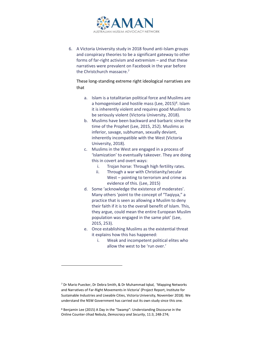

6. A Victoria University study in 2018 found anti-Islam groups and conspiracy theories to be a significant gateway to other forms of far-right activism and extremism – and that these narratives were prevalent on Facebook in the year before the Christchurch massacre. 7

These long-standing extreme right ideological narratives are that

- a. Islam is a totalitarian political force and Muslims are a homogenised and hostile mass (Lee,  $2015$ <sup>8</sup>. Islam it is inherently violent and requires good Muslims to be seriously violent (Victoria University, 2018).
- b. Muslims have been backward and barbaric since the time of the Prophet (Lee, 2015, 252). Muslims as inferior, savage, subhuman, sexually deviant, inherently incompatible with the West (Victoria University, 2018).
- c. Muslims in the West are engaged in a process of 'Islamization' to eventually takeover. They are doing this in covert and overt ways:
	- i. Trojan horse: Through high fertility rates.
	- ii. Through a war with Christianity/secular West – pointing to terrorism and crime as evidence of this. (Lee, 2015)
- d. Some 'acknowledge the existence of moderates'. Many others 'point to the concept of "Taqiyya," a practice that is seen as allowing a Muslim to deny their faith if it is to the overall benefit of Islam. This, they argue, could mean the entire European Muslim population was engaged in the same plot' (Lee, 2015, 253).
- e. Once establishing Muslims as the existential threat it explains how this has happened:
	- i. Weak and incompetent political elites who allow the west to be 'run over.'

<sup>7</sup> Dr Mario Puecker, Dr Debra Smith, & Dr Muhammad Iqbal, 'Mapping Networks and Narratives of Far-Right Movements in Victoria' (Project Report, Institute for Sustainable Industries and Liveable Cities, Victoria University, November 2018). We understand the NSW Government has carried out its own study since this one.

<sup>8</sup> Benjamin Lee (2015) A Day in the "Swamp": Understanding Discourse in the Online Counter-Jihad Nebula, *Democracy and Security*, 11:3, 248-274;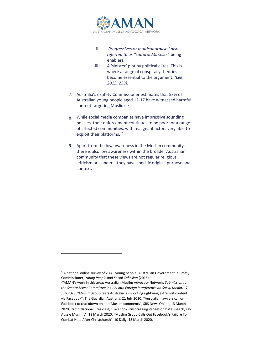

- ii. *'Progressives or multiculturalists' also referred to as "cultural Marxists"* being enablers.
- iii. A 'sinister*'* plot by political elites. This is where a range of conspiracy theories become essential to the argument. *(Lee, 2015, 253).*
- 7. Australia's eSafety Commissioner estimates that 53% of Australian young people aged 12-17 have witnessed harmful content targeting Muslims.9
- 8. While social media companies have impressive sounding policies, their enforcement continues to be poor for a range of affected communities, with malignant actors very able to exploit their platforms.<sup>10</sup>
- 9. Apart from the low awareness in the Muslim community, there is also low awareness within the broader Australian community that these views are not regular religious criticism or slander – they have specific origins, purpose and context.

 $9$  A national online survey of 2,448 young people: Australian Government, e-Safety Commissioner, *Young People and Social Cohesion* (2016).

<sup>10</sup>AMAN's work in this area: Australian Muslim Advocacy Network, *Submission to the Senate Select Committee Inquiry into Foreign Interference on Social Media*, 17 July 2020. "Muslim group fears Australia is importing rightwing extremist content via Facebook", The Guardian Australia, 21 July 2020; "Australian lawyers call on Facebook to crackdown on anti-Muslim comments", SBS News Online, 13 March 2020; Radio National Breakfast, "Facebook still dragging its feet on hate speech, say Aussie Muslims", 13 March 2020; "Muslim Group Calls Out Facebook's Failure To Combat Hate After Christchurch", 10 Daily, 13 March 2020.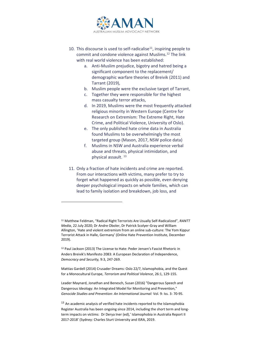

- 10. This discourse is used to self-radicalise<sup>11</sup>, inspiring people to commit and condone violence against Muslims.12 The link with real world violence has been established:
	- a. Anti-Muslim prejudice, bigotry and hatred being a significant component to the replacement/ demographic warfare theories of Breivik (2011) and Tarrant (2019),
	- b. Muslim people were the exclusive target of Tarrant,
	- c. Together they were responsible for the highest mass casualty terror attacks,
	- d. In 2019, Muslims were the most frequently attacked religious minority in Western Europe (Centre for Research on Extremism: The Extreme Right, Hate Crime, and Political Violence, University of Oslo).
	- e. The only published hate crime data in Australia found Muslims to be overwhelmingly the most targeted group (Mason, 2017, NSW police data)
	- f. Muslims in NSW and Australia experience verbal abuse and threats, physical intimidation, and physical assault. <sup>13</sup>
- 11. Only a fraction of hate incidents and crime are reported. From our interactions with victims, many prefer to try to forget what happened as quickly as possible, even denying deeper psychological impacts on whole families, which can lead to family isolation and breakdown, job loss, and

<sup>11</sup> Matthew Feldman, "Radical Right Terrorists Are Usually Self-Radicalized", *RANTT Media*, 22 July 2020; Dr Andre Oboler, Dr Patrick Scolyer-Gray and William Allington, 'Hate and violent extremism from an online sub-culture: The Yom Kippur Terrorist Attack in Halle, Germany' (Online Hate Prevention Institute, December 2019).

<sup>12</sup> Paul Jackson (2013) The License to Hate: Peder Jensen's Fascist Rhetoric in Anders Breivik's Manifesto 2083: A European Declaration of Independence, *Democracy and Security,* 9:3, 247-269.

Mattias Gardell (2014) Crusader Dreams: Oslo 22/7, Islamophobia, and the Quest for a Monocultural Europe, *Terrorism and Political Violence*, 26:1, 129-155.

Leader Maynard, Jonathan and Benesch, Susan (2016) "Dangerous Speech and Dangerous Ideology: An Integrated Model for Monitoring and Prevention," *Genocide Studies and Prevention: An International Journal:* Vol. 9: Iss. 3: 70-95.

<sup>&</sup>lt;sup>13</sup> An academic analysis of verified hate incidents reported to the Islamophobia Register Australia has been ongoing since 2014, including the short term and longterm impacts on victims: Dr Derya Iner (ed),' Islamophobia in Australia Report II 2017-2018' (Sydney: Charles Sturt University and ISRA, 2019.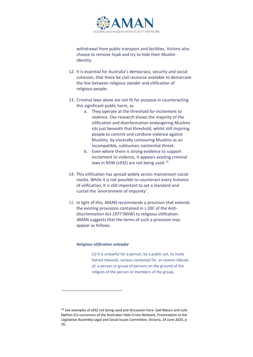

withdrawal from public transport and facilities. Victims also choose to remove hijab and try to hide their Muslim identity.

- 12. It is essential for Australia's democracy, security and social cohesion, that there be civil recourse available to demarcate the line between religious slander and vilification of religious people.
- 13. Criminal laws alone are not fit for purpose in counteracting this significant public harm, as
	- a. They operate at the threshold for incitement to violence. Our research shows the majority of the vilification and disinformation endangering Muslims sits just beneath that threshold, whilst still inspiring people to commit and condone violence against Muslims, by viscerally contouring Muslims as an incompatible, subhuman, existential threat.
	- b. Even where there is strong evidence to support incitement to violence, it appears existing criminal laws in NSW (s93Z) are not being used.<sup>14</sup>
- 14. This vilification has spread widely across mainstream social media. While it is not possible to counteract every instance of vilification, it is still important to set a standard and curtail the 'environment of impunity'.
- 15. In light of this, AMAN recommends a provision that extends the existing provisions contained in s 20C of the *Anti-Discrimination Act 1977* (NSW) to religious vilification. AMAN suggests that the terms of such a provision may appear as follows.

## *Religious vilification unlawful*

(1) It is unlawful for a person, by a public act, to incite hatred towards, serious contempt for, or severe ridicule of, a person or group of persons on the ground of the religion of the person or members of the group.

<sup>14</sup> See examples of s93Z not being used and discussion here: Gail Mason and Julie Nathan (Co-convenors of the Australian Hate Crime Network, Presentation to the Legislative Assembly Legal and Social Issues Committee, Victoria, 24 June 2020, p 26.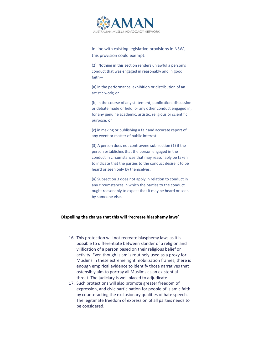

In line with existing legislative provisions in NSW, this provision could exempt:

(2) Nothing in this section renders unlawful a person's conduct that was engaged in reasonably and in good faith—

(a) in the performance, exhibition or distribution of an artistic work; or

(b) in the course of any statement, publication, discussion or debate made or held, or any other conduct engaged in, for any genuine academic, artistic, religious or scientific purpose; or

(c) in making or publishing a fair and accurate report of any event or matter of public interest.

(3) A person does not contravene sub-section (1) if the person establishes that the person engaged in the conduct in circumstances that may reasonably be taken to indicate that the parties to the conduct desire it to be heard or seen only by themselves.

(a) Subsection 3 does not apply in relation to conduct in any circumstances in which the parties to the conduct ought reasonably to expect that it may be heard or seen by someone else.

## **Dispelling the charge that this will 'recreate blasphemy laws'**

- 16. This protection will not recreate blasphemy laws as it is possible to differentiate between slander of a religion and vilification of a person based on their religious belief or activity. Even though Islam is routinely used as a proxy for Muslims in these extreme right mobilization frames, there is enough empirical evidence to identify those narratives that ostensibly aim to portray all Muslims as an existential threat. The judiciary is well placed to adjudicate.
- 17. Such protections will also promote greater freedom of expression, and civic participation for people of Islamic faith by counteracting the exclusionary qualities of hate speech. The legitimate freedom of expression of all parties needs to be considered.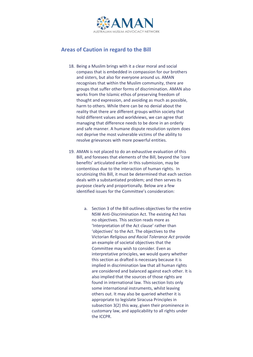

# <span id="page-11-0"></span>**Areas of Caution in regard to the Bill**

- 18. Being a Muslim brings with it a clear moral and social compass that is embedded in compassion for our brothers and sisters, but also for everyone around us. AMAN recognises that within the Muslim community, there are groups that suffer other forms of discrimination. AMAN also works from the Islamic ethos of preserving freedom of thought and expression, and avoiding as much as possible, harm to others. While there can be no denial about the reality that there are different groups within society that hold different values and worldviews, we can agree that managing that difference needs to be done in an orderly and safe manner. A humane dispute resolution system does not deprive the most vulnerable victims of the ability to resolve grievances with more powerful entities.
- 19. AMAN is not placed to do an exhaustive evaluation of this Bill, and foresees that elements of the Bill, beyond the 'core benefits' articulated earlier in this submission, may be contentious due to the interaction of human rights. In scrutinizing this Bill, it must be determined that each section deals with a substantiated problem; and then serves its purpose clearly and proportionally. Below are a few identified issues for the Committee's consideration:
	- a. Section 3 of the Bill outlines objectives for the entire NSW Anti-Discrimination Act. The existing Act has no objectives. This section reads more as 'Interpretation of the Act clause' rather than 'objectives' to the Act. The objectives to the Victorian *Religious and Racial Tolerance Act* provide an example of societal objectives that the Committee may wish to consider. Even as interpretative principles, we would query whether this section as drafted is necessary because it is implied in discrimination law that all human rights are considered and balanced against each other. It is also implied that the sources of those rights are found in international law. This section lists only some international instruments, whilst leaving others out. It may also be queried whether it is appropriate to legislate Siracusa Principles in subsection 3(2) this way, given their prominence in customary law, and applicability to all rights under the ICCPR.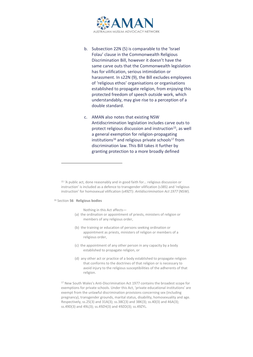

- b. Subsection 22N (5) is comparable to the 'Israel Folau' clause in the Commonwealth Religious Discrimination Bill, however it doesn't have the same carve outs that the Commonwealth legislation has for vilification, serious intimidation or harassment. In s22N (9), the Bill excludes employees of 'religious ethos' organisations or organisations established to propagate religion, from enjoying this protected freedom of speech outside work, which understandably, may give rise to a perception of a double standard.
- c. AMAN also notes that existing NSW Antidiscrimination legislation includes carve outs to protect religious discussion and instruction<sup>15</sup>, as well a general exemption for religion-propagating institutions<sup>16</sup> and religious private schools<sup>17</sup> from discrimination law. This Bill takes it further by granting protection to a more broadly defined

#### <sup>16</sup> Section **56 Religious bodies**

Nothing in this Act affects—

- (a) the ordination or appointment of priests, ministers of religion or members of any religious order,
- (b) the training or education of persons seeking ordination or appointment as priests, ministers of religion or members of a religious order,
- (c) the appointment of any other person in any capacity by a body established to propagate religion, or
- (d) any other act or practice of a body established to propagate religion that conforms to the doctrines of that religion or is necessary to avoid injury to the religious susceptibilities of the adherents of that religion.

<sup>17</sup> New South Wales's Anti-Discrimination Act 1977 contains the broadest scope for exemptions for private schools. Under this Act, 'private educational institutions' are exempt from the unlawful discrimination provisions concerning sex (including pregnancy), transgender grounds, marital status, disability, homosexuality and age. Respectively, ss.25(3) and 31A(3); ss.38C(3) and 38K(3); ss.40(3) and 46A(3); ss.49D(3) and 49L(3); ss.49ZH(3) and 49ZO(3); ss.49ZYL.

<sup>15</sup> 'A public act, done reasonably and in good faith for… religious discussion or instruction' is included as a defence to transgender vilification (s38S) and 'religious instruction' for homosexual vilification (s49ZT): *Antidiscrimination Act 1977* (NSW).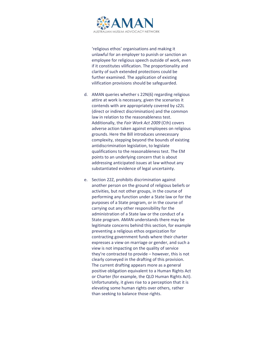

'religious ethos' organisations and making it unlawful for an employer to punish or sanction an employee for religious speech outside of work, even if it constitutes vilification. The proportionality and clarity of such extended protections could be further examined. The application of existing vilification provisions should be safeguarded.

- d. AMAN queries whether s 22N(6) regarding religious attire at work is necessary, given the scenarios it contends with are appropriately covered by s22L (direct or indirect discrimination) and the common law in relation to the reasonableness test. Additionally, the *Fair Work Act 2009* (Cth) covers adverse action taken against employees on religious grounds. Here the Bill introduces unnecessary complexity, stepping beyond the bounds of existing antidiscrimination legislation, to legislate qualifications to the reasonableness test. The EM points to an underlying concern that is about addressing anticipated issues at law without any substantiated evidence of legal uncertainty.
- e. Section 22Z, prohibits discrimination against another person on the ground of religious beliefs or activities, but not other groups, in the course of performing any function under a State law or for the purposes of a State program, or in the course of carrying out any other responsibility for the administration of a State law or the conduct of a State program. AMAN understands there may be legitimate concerns behind this section, for example preventing a religious ethos organization for contracting government funds where their charter expresses a view on marriage or gender, and such a view is not impacting on the quality of service they're contracted to provide – however, this is not clearly conveyed in the drafting of this provision. The current drafting appears more as a general positive obligation equivalent to a Human Rights Act or Charter (for example, the QLD Human Rights Act). Unfortunately, it gives rise to a perception that it is elevating some human rights over others, rather than seeking to balance those rights.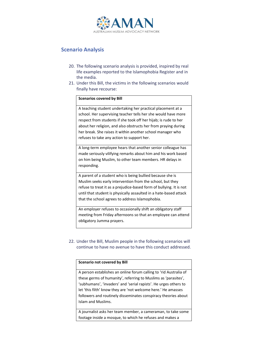

# <span id="page-14-0"></span>**Scenario Analysis**

- 20. The following scenario analysis is provided, inspired by real life examples reported to the Islamophobia Register and in the media.
- 21. Under this Bill, the victims in the following scenarios would finally have recourse:

## **Scenarios covered by Bill**

A teaching student undertaking her practical placement at a school. Her supervising teacher tells her she would have more respect from students if she took off her hijab; is rude to her about her religion, and also obstructs her from praying during her break. She raises it within another school manager who refuses to take any action to support her.

A long-term employee hears that another senior colleague has made seriously vilifying remarks about him and his work based on him being Muslim, to other team members. HR delays in responding.

A parent of a student who is being bullied because she is Muslim seeks early intervention from the school, but they refuse to treat it as a prejudice-based form of bullying. It is not until that student is physically assaulted in a hate-based attack that the school agrees to address Islamophobia.

An employer refuses to occasionally shift an obligatory staff meeting from Friday afternoons so that an employee can attend obligatory Jumma prayers.

22. Under the Bill, Muslim people in the following scenarios will continue to have no avenue to have this conduct addressed.

## **Scenario not covered by Bill**

A person establishes an online forum calling to 'rid Australia of these germs of humanity', referring to Muslims as 'parasites', 'subhumans', 'invaders' and 'serial rapists'. He urges others to let 'this filth' know they are 'not welcome here.' He amasses followers and routinely disseminates conspiracy theories about Islam and Muslims.

A journalist asks her team member, a cameraman, to take some footage inside a mosque, to which he refuses and makes a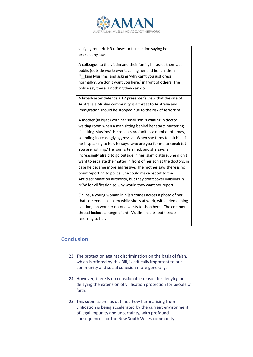

vilifying remark. HR refuses to take action saying he hasn't broken any laws.

A colleague to the victim and their family harasses them at a public (outside work) event, calling her and her children 'f\_\_king Muslims' and asking 'why can't you just dress normally?, we don't want you here,' in front of others. The police say there is nothing they can do.

A broadcaster defends a TV presenter's view that the size of Australia's Muslim community is a threat to Australia and immigration should be stopped due to the risk of terrorism.

A mother (in hijab) with her small son is waiting in doctor waiting room when a man sitting behind her starts muttering 'f\_\_\_king Muslims'. He repeats profanities a number of times, sounding increasingly aggressive. When she turns to ask him if he is speaking to her, he says 'who are you for me to speak to? You are nothing.' Her son is terrified, and she says is increasingly afraid to go outside in her Islamic attire. She didn't want to escalate the matter in front of her son at the doctors, in case he became more aggressive. The mother says there is no point reporting to police. She could make report to the Antidiscrimination authority, but they don't cover Muslims in NSW for vilification so why would they want her report.

Online, a young woman in hijab comes across a photo of her that someone has taken while she is at work, with a demeaning caption, 'no wonder no-one wants to shop here'. The comment thread include a range of anti-Muslim insults and threats referring to her.

## <span id="page-15-0"></span>**Conclusion**

- 23. The protection against discrimination on the basis of faith, which is offered by this Bill, is critically important to our community and social cohesion more generally.
- 24. However, there is no conscionable reason for denying or delaying the extension of vilification protection for people of faith.
- 25. This submission has outlined how harm arising from vilification is being accelerated by the current environment of legal impunity and uncertainty, with profound consequences for the New South Wales community.